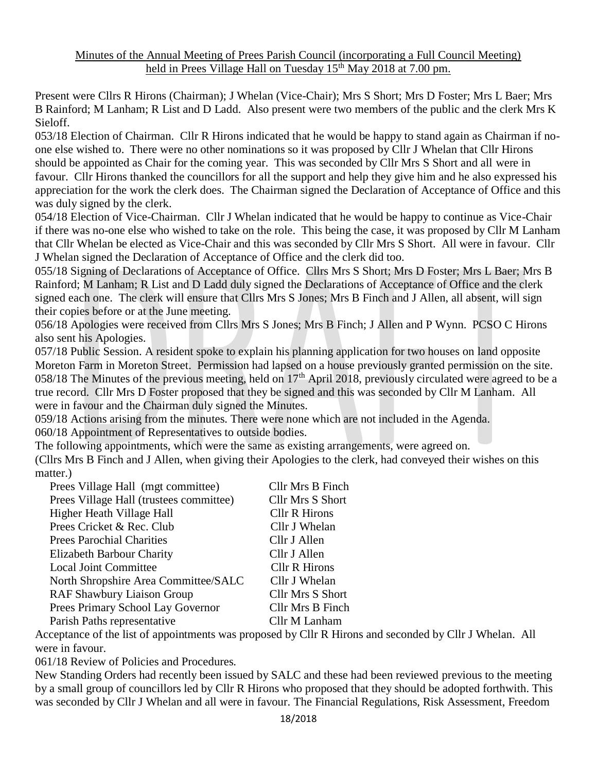## Minutes of the Annual Meeting of Prees Parish Council (incorporating a Full Council Meeting) held in Prees Village Hall on Tuesday 15<sup>th</sup> May 2018 at 7.00 pm.

Present were Cllrs R Hirons (Chairman); J Whelan (Vice-Chair); Mrs S Short; Mrs D Foster; Mrs L Baer; Mrs B Rainford; M Lanham; R List and D Ladd. Also present were two members of the public and the clerk Mrs K Sieloff.

053/18 Election of Chairman. Cllr R Hirons indicated that he would be happy to stand again as Chairman if noone else wished to. There were no other nominations so it was proposed by Cllr J Whelan that Cllr Hirons should be appointed as Chair for the coming year. This was seconded by Cllr Mrs S Short and all were in favour. Cllr Hirons thanked the councillors for all the support and help they give him and he also expressed his appreciation for the work the clerk does. The Chairman signed the Declaration of Acceptance of Office and this was duly signed by the clerk.

054/18 Election of Vice-Chairman. Cllr J Whelan indicated that he would be happy to continue as Vice-Chair if there was no-one else who wished to take on the role. This being the case, it was proposed by Cllr M Lanham that Cllr Whelan be elected as Vice-Chair and this was seconded by Cllr Mrs S Short. All were in favour. Cllr J Whelan signed the Declaration of Acceptance of Office and the clerk did too.

055/18 Signing of Declarations of Acceptance of Office. Cllrs Mrs S Short; Mrs D Foster; Mrs L Baer; Mrs B Rainford; M Lanham; R List and D Ladd duly signed the Declarations of Acceptance of Office and the clerk signed each one. The clerk will ensure that Cllrs Mrs S Jones; Mrs B Finch and J Allen, all absent, will sign their copies before or at the June meeting.

056/18 Apologies were received from Cllrs Mrs S Jones; Mrs B Finch; J Allen and P Wynn. PCSO C Hirons also sent his Apologies.

057/18 Public Session. A resident spoke to explain his planning application for two houses on land opposite Moreton Farm in Moreton Street. Permission had lapsed on a house previously granted permission on the site. 058/18 The Minutes of the previous meeting, held on 17<sup>th</sup> April 2018, previously circulated were agreed to be a true record. Cllr Mrs D Foster proposed that they be signed and this was seconded by Cllr M Lanham. All were in favour and the Chairman duly signed the Minutes.

059/18 Actions arising from the minutes. There were none which are not included in the Agenda. 060/18 Appointment of Representatives to outside bodies.

The following appointments, which were the same as existing arrangements, were agreed on.

(Cllrs Mrs B Finch and J Allen, when giving their Apologies to the clerk, had conveyed their wishes on this matter.)

| Prees Village Hall (mgt committee)      | Cllr Mrs B Finch        |
|-----------------------------------------|-------------------------|
| Prees Village Hall (trustees committee) | Cllr Mrs S Short        |
| Higher Heath Village Hall               | <b>Cllr R Hirons</b>    |
| Prees Cricket & Rec. Club               | Cllr J Whelan           |
| <b>Prees Parochial Charities</b>        | Cllr J Allen            |
| <b>Elizabeth Barbour Charity</b>        | Cllr J Allen            |
| <b>Local Joint Committee</b>            | Cllr R Hirons           |
| North Shropshire Area Committee/SALC    | Cllr J Whelan           |
| <b>RAF Shawbury Liaison Group</b>       | Cllr Mrs S Short        |
| Prees Primary School Lay Governor       | <b>Cllr Mrs B Finch</b> |
| Parish Paths representative             | Cllr M Lanham           |
|                                         |                         |

Acceptance of the list of appointments was proposed by Cllr R Hirons and seconded by Cllr J Whelan. All were in favour.

061/18 Review of Policies and Procedures.

New Standing Orders had recently been issued by SALC and these had been reviewed previous to the meeting by a small group of councillors led by Cllr R Hirons who proposed that they should be adopted forthwith. This was seconded by Cllr J Whelan and all were in favour. The Financial Regulations, Risk Assessment, Freedom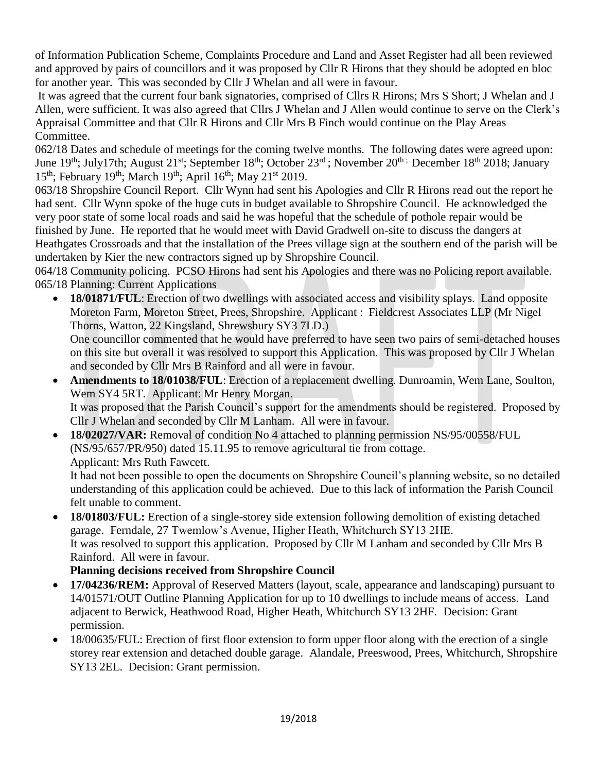of Information Publication Scheme, Complaints Procedure and Land and Asset Register had all been reviewed and approved by pairs of councillors and it was proposed by Cllr R Hirons that they should be adopted en bloc for another year. This was seconded by Cllr J Whelan and all were in favour.

It was agreed that the current four bank signatories, comprised of Cllrs R Hirons; Mrs S Short; J Whelan and J Allen, were sufficient. It was also agreed that Cllrs J Whelan and J Allen would continue to serve on the Clerk's Appraisal Committee and that Cllr R Hirons and Cllr Mrs B Finch would continue on the Play Areas Committee.

062/18 Dates and schedule of meetings for the coming twelve months. The following dates were agreed upon: June 19th; July17th; August 21st; September 18th; October 23rd; November 20th; December 18th 2018; January 15<sup>th</sup>; February 19<sup>th</sup>; March 19<sup>th</sup>; April 16<sup>th</sup>; May 21<sup>st</sup> 2019.

063/18 Shropshire Council Report. Cllr Wynn had sent his Apologies and Cllr R Hirons read out the report he had sent. Cllr Wynn spoke of the huge cuts in budget available to Shropshire Council. He acknowledged the very poor state of some local roads and said he was hopeful that the schedule of pothole repair would be finished by June. He reported that he would meet with David Gradwell on-site to discuss the dangers at Heathgates Crossroads and that the installation of the Prees village sign at the southern end of the parish will be undertaken by Kier the new contractors signed up by Shropshire Council.

064/18 Community policing. PCSO Hirons had sent his Apologies and there was no Policing report available. 065/18 Planning: Current Applications

• **18/01871/FUL**: Erection of two dwellings with associated access and visibility splays. Land opposite Moreton Farm, Moreton Street, Prees, Shropshire. Applicant : Fieldcrest Associates LLP (Mr Nigel Thorns, Watton, 22 Kingsland, Shrewsbury SY3 7LD.)

One councillor commented that he would have preferred to have seen two pairs of semi-detached houses on this site but overall it was resolved to support this Application. This was proposed by Cllr J Whelan and seconded by Cllr Mrs B Rainford and all were in favour.

• **Amendments to 18/01038/FUL**: Erection of a replacement dwelling. Dunroamin, Wem Lane, Soulton, Wem SY4 5RT. Applicant: Mr Henry Morgan. It was proposed that the Parish Council's support for the amendments should be registered. Proposed by

Cllr J Whelan and seconded by Cllr M Lanham. All were in favour.

• **18/02027/VAR:** Removal of condition No 4 attached to planning permission NS/95/00558/FUL (NS/95/657/PR/950) dated 15.11.95 to remove agricultural tie from cottage. Applicant: Mrs Ruth Fawcett.

It had not been possible to open the documents on Shropshire Council's planning website, so no detailed understanding of this application could be achieved. Due to this lack of information the Parish Council felt unable to comment.

• **18/01803/FUL:** Erection of a single-storey side extension following demolition of existing detached garage. Ferndale, 27 Twemlow's Avenue, Higher Heath, Whitchurch SY13 2HE. It was resolved to support this application. Proposed by Cllr M Lanham and seconded by Cllr Mrs B Rainford. All were in favour.

## **Planning decisions received from Shropshire Council**

- **17/04236/REM:** Approval of Reserved Matters (layout, scale, appearance and landscaping) pursuant to 14/01571/OUT Outline Planning Application for up to 10 dwellings to include means of access. Land adjacent to Berwick, Heathwood Road, Higher Heath, Whitchurch SY13 2HF. Decision: Grant permission.
- 18/00635/FUL: Erection of first floor extension to form upper floor along with the erection of a single storey rear extension and detached double garage. Alandale, Preeswood, Prees, Whitchurch, Shropshire SY13 2EL. Decision: Grant permission.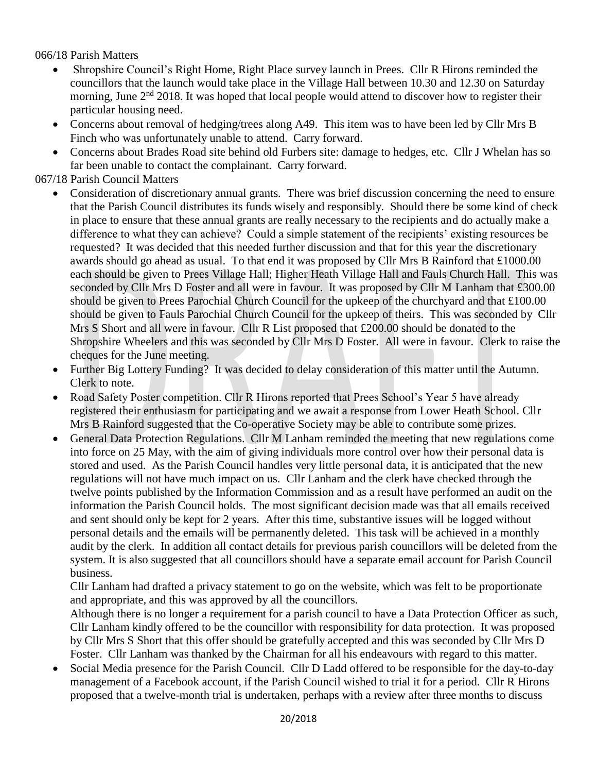066/18 Parish Matters

- Shropshire Council's Right Home, Right Place survey launch in Prees. Cllr R Hirons reminded the councillors that the launch would take place in the Village Hall between 10.30 and 12.30 on Saturday morning, June 2<sup>nd</sup> 2018. It was hoped that local people would attend to discover how to register their particular housing need.
- Concerns about removal of hedging/trees along A49. This item was to have been led by Cllr Mrs B Finch who was unfortunately unable to attend. Carry forward.
- Concerns about Brades Road site behind old Furbers site: damage to hedges, etc. Cllr J Whelan has so far been unable to contact the complainant. Carry forward.

067/18 Parish Council Matters

- Consideration of discretionary annual grants. There was brief discussion concerning the need to ensure that the Parish Council distributes its funds wisely and responsibly. Should there be some kind of check in place to ensure that these annual grants are really necessary to the recipients and do actually make a difference to what they can achieve? Could a simple statement of the recipients' existing resources be requested? It was decided that this needed further discussion and that for this year the discretionary awards should go ahead as usual. To that end it was proposed by Cllr Mrs B Rainford that £1000.00 each should be given to Prees Village Hall; Higher Heath Village Hall and Fauls Church Hall. This was seconded by Cllr Mrs D Foster and all were in favour. It was proposed by Cllr M Lanham that £300.00 should be given to Prees Parochial Church Council for the upkeep of the churchyard and that £100.00 should be given to Fauls Parochial Church Council for the upkeep of theirs. This was seconded by Cllr Mrs S Short and all were in favour. Cllr R List proposed that £200.00 should be donated to the Shropshire Wheelers and this was seconded by Cllr Mrs D Foster. All were in favour. Clerk to raise the cheques for the June meeting.
- Further Big Lottery Funding? It was decided to delay consideration of this matter until the Autumn. Clerk to note.
- Road Safety Poster competition. Cllr R Hirons reported that Prees School's Year 5 have already registered their enthusiasm for participating and we await a response from Lower Heath School. Cllr Mrs B Rainford suggested that the Co-operative Society may be able to contribute some prizes.
- General Data Protection Regulations. Cllr M Lanham reminded the meeting that new regulations come into force on 25 May, with the aim of giving individuals more control over how their personal data is stored and used. As the Parish Council handles very little personal data, it is anticipated that the new regulations will not have much impact on us. Cllr Lanham and the clerk have checked through the twelve points published by the Information Commission and as a result have performed an audit on the information the Parish Council holds. The most significant decision made was that all emails received and sent should only be kept for 2 years. After this time, substantive issues will be logged without personal details and the emails will be permanently deleted. This task will be achieved in a monthly audit by the clerk. In addition all contact details for previous parish councillors will be deleted from the system. It is also suggested that all councillors should have a separate email account for Parish Council business.

Cllr Lanham had drafted a privacy statement to go on the website, which was felt to be proportionate and appropriate, and this was approved by all the councillors.

Although there is no longer a requirement for a parish council to have a Data Protection Officer as such, Cllr Lanham kindly offered to be the councillor with responsibility for data protection. It was proposed by Cllr Mrs S Short that this offer should be gratefully accepted and this was seconded by Cllr Mrs D Foster. Cllr Lanham was thanked by the Chairman for all his endeavours with regard to this matter.

• Social Media presence for the Parish Council. Cllr D Ladd offered to be responsible for the day-to-day management of a Facebook account, if the Parish Council wished to trial it for a period. Cllr R Hirons proposed that a twelve-month trial is undertaken, perhaps with a review after three months to discuss